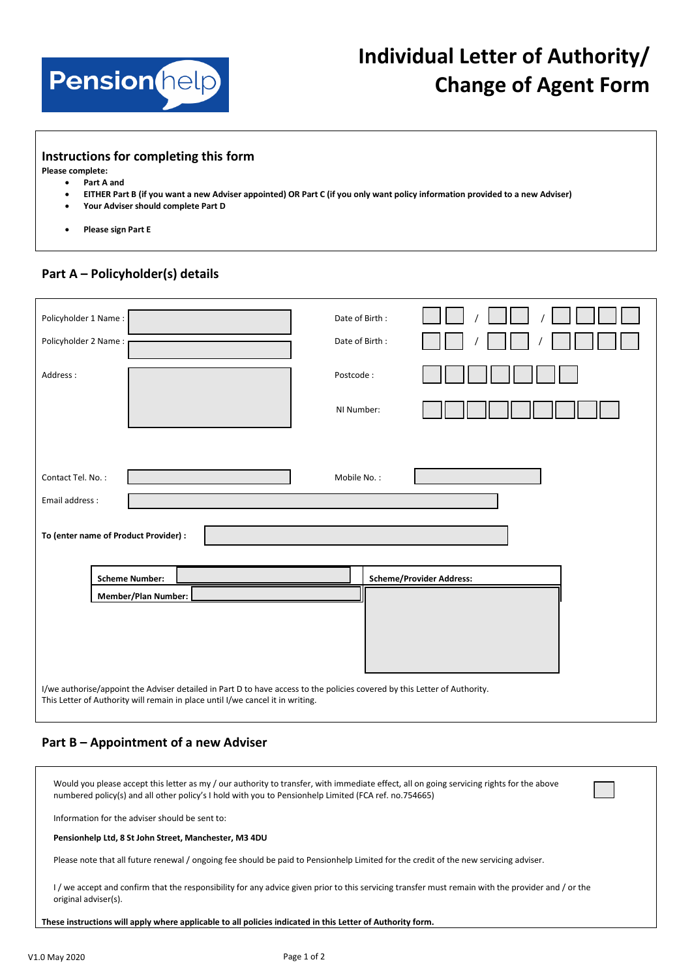

# **Individual Letter of Authority/ Change of Agent Form**

#### **Instructions for completing this form**

**Please complete:**

- **Part A and**
- **EITHER Part B (if you want a new Adviser appointed) OR Part C (if you only want policy information provided to a new Adviser)**
- **Your Adviser should complete Part D**
- **Please sign Part E**

### **Part A – Policyholder(s) details**

| Policyholder 1 Name:                                                                                                      |                            |  | Date of Birth: |  |                                 |  |  |
|---------------------------------------------------------------------------------------------------------------------------|----------------------------|--|----------------|--|---------------------------------|--|--|
| Policyholder 2 Name:                                                                                                      |                            |  | Date of Birth: |  |                                 |  |  |
| Address:                                                                                                                  |                            |  | Postcode:      |  |                                 |  |  |
|                                                                                                                           |                            |  | NI Number:     |  |                                 |  |  |
|                                                                                                                           |                            |  |                |  |                                 |  |  |
| Contact Tel. No.:<br>Mobile No.:                                                                                          |                            |  |                |  |                                 |  |  |
|                                                                                                                           | Email address :            |  |                |  |                                 |  |  |
| To (enter name of Product Provider) :                                                                                     |                            |  |                |  |                                 |  |  |
|                                                                                                                           | <b>Scheme Number:</b>      |  |                |  | <b>Scheme/Provider Address:</b> |  |  |
|                                                                                                                           | <b>Member/Plan Number:</b> |  |                |  |                                 |  |  |
|                                                                                                                           |                            |  |                |  |                                 |  |  |
|                                                                                                                           |                            |  |                |  |                                 |  |  |
|                                                                                                                           |                            |  |                |  |                                 |  |  |
| I/we authorise/appoint the Adviser detailed in Part D to have access to the policies covered by this Letter of Authority. |                            |  |                |  |                                 |  |  |
| This Letter of Authority will remain in place until I/we cancel it in writing.                                            |                            |  |                |  |                                 |  |  |

#### **Part B – Appointment of a new Adviser**

| Would you please accept this letter as my / our authority to transfer, with immediate effect, all on going servicing rights for the above<br>numbered policy(s) and all other policy's I hold with you to Pensionhelp Limited (FCA ref. no.754665) |
|----------------------------------------------------------------------------------------------------------------------------------------------------------------------------------------------------------------------------------------------------|
| Information for the adviser should be sent to:                                                                                                                                                                                                     |
| Pensionhelp Ltd, 8 St John Street, Manchester, M3 4DU                                                                                                                                                                                              |
| Please note that all future renewal / ongoing fee should be paid to Pensionhelp Limited for the credit of the new servicing adviser.                                                                                                               |
| I/we accept and confirm that the responsibility for any advice given prior to this servicing transfer must remain with the provider and / or the<br>original adviser(s).                                                                           |

**These instructions will apply where applicable to all policies indicated in this Letter of Authority form.**